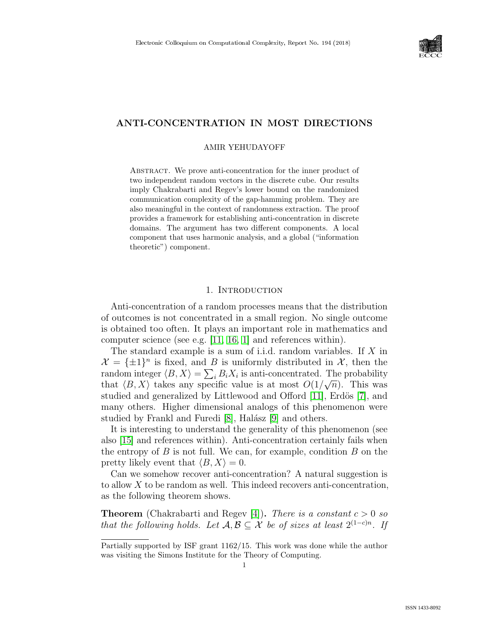

# ANTI-CONCENTRATION IN MOST DIRECTIONS

#### AMIR YEHUDAYOFF

ABSTRACT. We prove anti-concentration for the inner product of two independent random vectors in the discrete cube. Our results imply Chakrabarti and Regev's lower bound on the randomized communication complexity of the gap-hamming problem. They are also meaningful in the context of randomness extraction. The proof provides a framework for establishing anti-concentration in discrete domains. The argument has two different components. A local component that uses harmonic analysis, and a global ("information theoretic") component.

## 1. INTRODUCTION

Anti-concentration of a random processes means that the distribution of outcomes is not concentrated in a small region. No single outcome is obtained too often. It plays an important role in mathematics and computer science (see e.g. [\[11,](#page--1-0) [16,](#page--1-1) [1\]](#page--1-2) and references within).

The standard example is a sum of i.i.d. random variables. If  $X$  in  $\mathcal{X} = {\pm 1}^n$  is fixed, and B is uniformly distributed in X, then the random integer  $\langle B, X \rangle = \sum_i B_i X_i$  is anti-concentrated. The probability that  $\langle B, X \rangle$  takes any specific value is at most  $O(1/\sqrt{n})$ . This was studied and generalized by Littlewood and Offord [\[11\]](#page--1-0), Erdös [\[7\]](#page--1-3), and many others. Higher dimensional analogs of this phenomenon were studied by Frankl and Furedi  $[8]$ , Halász  $[9]$  and others.

It is interesting to understand the generality of this phenomenon (see also [\[15\]](#page--1-6) and references within). Anti-concentration certainly fails when the entropy of  $B$  is not full. We can, for example, condition  $B$  on the pretty likely event that  $\langle B, X \rangle = 0$ .

Can we somehow recover anti-concentration? A natural suggestion is to allow X to be random as well. This indeed recovers anti-concentration, as the following theorem shows.

**Theorem** (Chakrabarti and Regev [\[4\]](#page--1-7)). There is a constant  $c > 0$  so that the following holds. Let  $\mathcal{A}, \mathcal{B} \subseteq \mathcal{X}$  be of sizes at least  $2^{(1-c)n}$ . If

Partially supported by ISF grant 1162/15. This work was done while the author was visiting the Simons Institute for the Theory of Computing.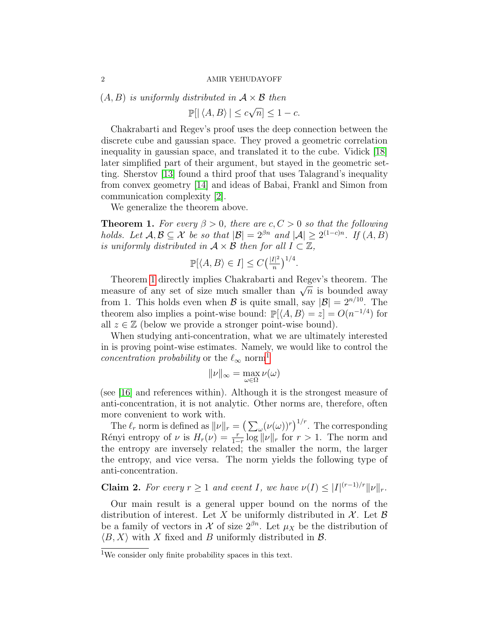$(A, B)$  is uniformly distributed in  $A \times B$  then

 $\mathbb{P}[\vert \langle A, B \rangle \vert \leq c \sqrt{\varepsilon}$  $\overline{n} \leq 1 - c.$ 

Chakrabarti and Regev's proof uses the deep connection between the discrete cube and gaussian space. They proved a geometric correlation inequality in gaussian space, and translated it to the cube. Vidick [\[18\]](#page--1-8) later simplified part of their argument, but stayed in the geometric setting. Sherstov [\[13\]](#page-14-0) found a third proof that uses Talagrand's inequality from convex geometry [\[14\]](#page-14-1) and ideas of Babai, Frankl and Simon from communication complexity [\[2\]](#page-14-2).

We generalize the theorem above.

<span id="page-1-0"></span>**Theorem 1.** For every  $\beta > 0$ , there are  $c, C > 0$  so that the following holds. Let  $\mathcal{A}, \mathcal{B} \subseteq \mathcal{X}$  be so that  $|\mathcal{B}| = 2^{\beta n}$  and  $|\mathcal{A}| \geq 2^{(1-c)n}$ . If  $(A, B)$ is uniformly distributed in  $A \times B$  then for all  $I \subset \mathbb{Z}$ ,

$$
\mathbb{P}[\langle A, B \rangle \in I] \le C \left(\frac{|I|^2}{n}\right)^{1/4}.
$$

Theorem [1](#page-1-0) directly implies Chakrabarti and Regev's theorem. The Theorem I directly implies Chakrabarti and Regev s theorem. The measure of any set of size much smaller than  $\sqrt{n}$  is bounded away from 1. This holds even when  $\mathcal B$  is quite small, say  $|\mathcal B|=2^{n/10}$ . The theorem also implies a point-wise bound:  $\mathbb{P}[\langle A, B \rangle = z] = O(n^{-1/4})$  for all  $z \in \mathbb{Z}$  (below we provide a stronger point-wise bound).

When studying anti-concentration, what we are ultimately interested in is proving point-wise estimates. Namely, we would like to control the concentration probability or the  $\ell_{\infty}$  norm<sup>[1](#page-1-1)</sup>

$$
\|\nu\|_{\infty} = \max_{\omega \in \Omega} \nu(\omega)
$$

(see [\[16\]](#page--1-1) and references within). Although it is the strongest measure of anti-concentration, it is not analytic. Other norms are, therefore, often more convenient to work with.

The  $\ell_r$  norm is defined as  $||\nu||_r = \left(\sum_{\omega} (\nu(\omega))^r\right)^{1/r}$ . The corresponding Rényi entropy of  $\nu$  is  $H_r(\nu) = \frac{r}{1-r} \log ||\nu||_r$  for  $r > 1$ . The norm and the entropy are inversely related; the smaller the norm, the larger the entropy, and vice versa. The norm yields the following type of anti-concentration.

<span id="page-1-2"></span>**Claim 2.** For every  $r \geq 1$  and event I, we have  $\nu(I) \leq |I|^{(r-1)/r} \|\nu\|_r$ .

Our main result is a general upper bound on the norms of the distribution of interest. Let X be uniformly distributed in  $X$ . Let B be a family of vectors in X of size  $2^{\beta n}$ . Let  $\mu_X$  be the distribution of  $\langle B, X \rangle$  with X fixed and B uniformly distributed in B.

<span id="page-1-1"></span><sup>&</sup>lt;sup>1</sup>We consider only finite probability spaces in this text.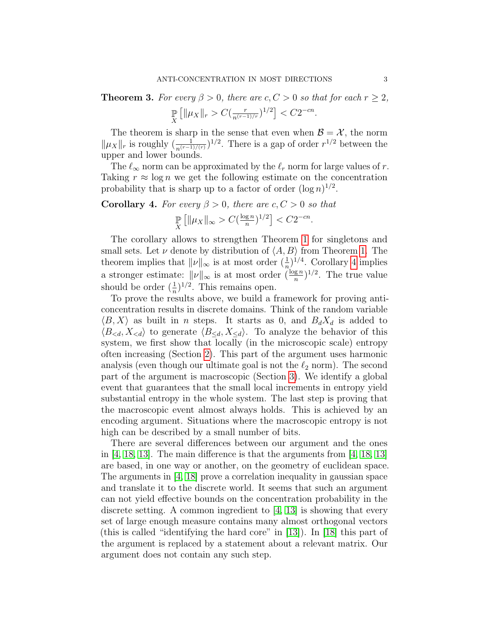<span id="page-2-1"></span>**Theorem 3.** For every  $\beta > 0$ , there are  $c, C > 0$  so that for each  $r \geq 2$ ,

$$
\mathop{\mathbb{P}}_X \left[ \|\mu_X\|_r > C \left( \frac{r}{n^{(r-1)/r}} \right)^{1/2} \right] < C 2^{-cn}.
$$

The theorem is sharp in the sense that even when  $\mathcal{B} = \mathcal{X}$ , the norm  $\|\mu_X\|_r$  is roughly  $\left(\frac{1}{n^{(r-1)/(r)}}\right)^{1/2}$ . There is a gap of order  $r^{1/2}$  between the upper and lower bounds.

The  $\ell_{\infty}$  norm can be approximated by the  $\ell_r$  norm for large values of r. Taking  $r \approx \log n$  we get the following estimate on the concentration probability that is sharp up to a factor of order  $(\log n)^{1/2}$ .

<span id="page-2-0"></span>**Corollary 4.** For every  $\beta > 0$ , there are  $c, C > 0$  so that

$$
\mathop{\mathbb{P}}_X \left[ \|\mu_X\|_\infty > C \left(\frac{\log n}{n}\right)^{1/2} \right] < C2^{-cn}.
$$

The corollary allows to strengthen Theorem [1](#page-1-0) for singletons and small sets. Let  $\nu$  denote by distribution of  $\langle A, B \rangle$  from Theorem [1.](#page-1-0) The theorem implies that  $||\nu||_{\infty}$  is at most order  $(\frac{1}{n})^{1/4}$ . Corollary [4](#page-2-0) implies a stronger estimate:  $||\nu||_{\infty}$  is at most order  $(\frac{\log n}{n})^{1/2}$ . The true value should be order  $(\frac{1}{n})^{1/2}$ . This remains open.

To prove the results above, we build a framework for proving anticoncentration results in discrete domains. Think of the random variable  $\langle B, X \rangle$  as built in *n* steps. It starts as 0, and  $B_dX_d$  is added to  $\langle B_{\le d}, X_{\le d} \rangle$  to generate  $\langle B_{\le d}, X_{\le d} \rangle$ . To analyze the behavior of this system, we first show that locally (in the microscopic scale) entropy often increasing (Section [2\)](#page-4-0). This part of the argument uses harmonic analysis (even though our ultimate goal is not the  $\ell_2$  norm). The second part of the argument is macroscopic (Section [3\)](#page-7-0). We identify a global event that guarantees that the small local increments in entropy yield substantial entropy in the whole system. The last step is proving that the macroscopic event almost always holds. This is achieved by an encoding argument. Situations where the macroscopic entropy is not high can be described by a small number of bits.

There are several differences between our argument and the ones in [\[4,](#page-14-3) [18,](#page--1-8) [13\]](#page-14-0). The main difference is that the arguments from [\[4,](#page-14-3) [18,](#page--1-8) [13\]](#page-14-0) are based, in one way or another, on the geometry of euclidean space. The arguments in [\[4,](#page-14-3) [18\]](#page--1-8) prove a correlation inequality in gaussian space and translate it to the discrete world. It seems that such an argument can not yield effective bounds on the concentration probability in the discrete setting. A common ingredient to [\[4,](#page-14-3) [13\]](#page-14-0) is showing that every set of large enough measure contains many almost orthogonal vectors (this is called "identifying the hard core" in [\[13\]](#page-14-0)). In [\[18\]](#page--1-8) this part of the argument is replaced by a statement about a relevant matrix. Our argument does not contain any such step.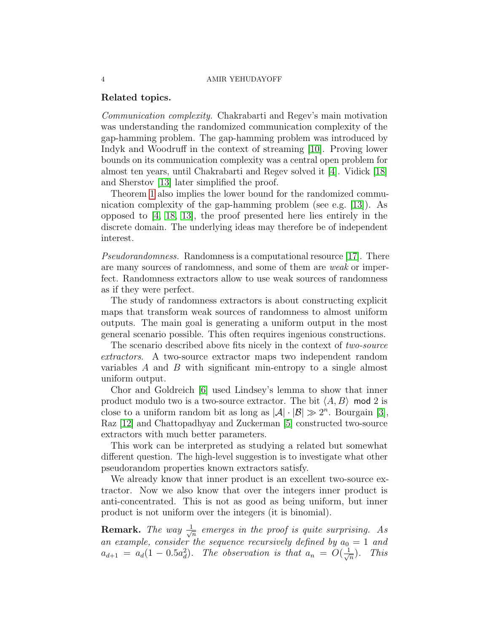## Related topics.

Communication complexity. Chakrabarti and Regev's main motivation was understanding the randomized communication complexity of the gap-hamming problem. The gap-hamming problem was introduced by Indyk and Woodruff in the context of streaming [\[10\]](#page-14-4). Proving lower bounds on its communication complexity was a central open problem for almost ten years, until Chakrabarti and Regev solved it [\[4\]](#page-14-3). Vidick [\[18\]](#page--1-8) and Sherstov [\[13\]](#page-14-0) later simplified the proof.

Theorem [1](#page-1-0) also implies the lower bound for the randomized communication complexity of the gap-hamming problem (see e.g. [\[13\]](#page-14-0)). As opposed to [\[4,](#page-14-3) [18,](#page--1-8) [13\]](#page-14-0), the proof presented here lies entirely in the discrete domain. The underlying ideas may therefore be of independent interest.

Pseudorandomness. Randomness is a computational resource [\[17\]](#page--1-9). There are many sources of randomness, and some of them are weak or imperfect. Randomness extractors allow to use weak sources of randomness as if they were perfect.

The study of randomness extractors is about constructing explicit maps that transform weak sources of randomness to almost uniform outputs. The main goal is generating a uniform output in the most general scenario possible. This often requires ingenious constructions.

The scenario described above fits nicely in the context of two-source extractors. A two-source extractor maps two independent random variables A and B with significant min-entropy to a single almost uniform output.

Chor and Goldreich [\[6\]](#page-14-5) used Lindsey's lemma to show that inner product modulo two is a two-source extractor. The bit  $\langle A, B \rangle$  mod 2 is close to a uniform random bit as long as  $|\mathcal{A}| \cdot |\mathcal{B}| \gg 2^n$ . Bourgain [\[3\]](#page-14-6), Raz [\[12\]](#page-14-7) and Chattopadhyay and Zuckerman [\[5\]](#page-14-8) constructed two-source extractors with much better parameters.

This work can be interpreted as studying a related but somewhat different question. The high-level suggestion is to investigate what other pseudorandom properties known extractors satisfy.

We already know that inner product is an excellent two-source extractor. Now we also know that over the integers inner product is anti-concentrated. This is not as good as being uniform, but inner product is not uniform over the integers (it is binomial).

**Remark.** The way  $\frac{1}{\sqrt{2}}$  $\frac{1}{\sqrt{n}}$  emerges in the proof is quite surprising. As an example, consider the sequence recursively defined by  $a_0 = 1$  and  $a_{d+1} = a_d(1 - 0.5a_d^2)$ . The observation is that  $a_n = O(\frac{1}{\sqrt{2}})$  $\frac{1}{n}$ ). This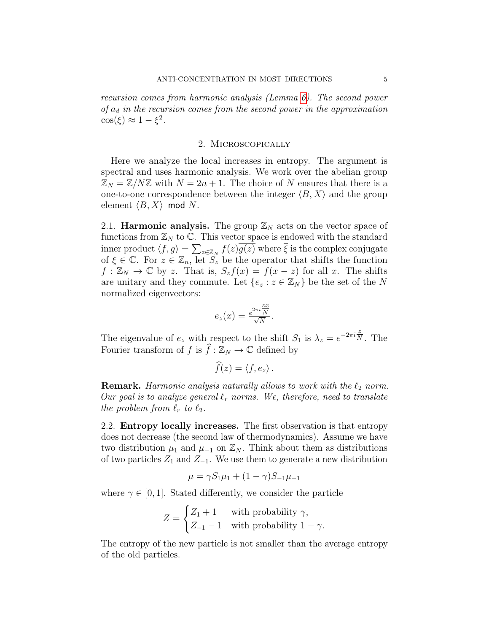recursion comes from harmonic analysis (Lemma [6\)](#page-5-0). The second power of  $a_d$  in the recursion comes from the second power in the approximation  $\cos(\xi) \approx 1 - \xi^2$ .

### 2. Microscopically

<span id="page-4-0"></span>Here we analyze the local increases in entropy. The argument is spectral and uses harmonic analysis. We work over the abelian group  $\mathbb{Z}_N = \mathbb{Z}/N\mathbb{Z}$  with  $N = 2n + 1$ . The choice of N ensures that there is a one-to-one correspondence between the integer  $\langle B, X \rangle$  and the group element  $\langle B, X \rangle$  mod N.

2.1. **Harmonic analysis.** The group  $\mathbb{Z}_N$  acts on the vector space of functions from  $\mathbb{Z}_N$  to  $\mathbb{C}$ . This vector space is endowed with the standard inner product  $\langle f, g \rangle = \sum_{z \in \mathbb{Z}_N} f(z)g(z)$  where  $\overline{\xi}$  is the complex conjugate of  $\xi \in \mathbb{C}$ . For  $z \in \mathbb{Z}_n$ , let  $\overrightarrow{S}_z$  be the operator that shifts the function  $f: \mathbb{Z}_N \to \mathbb{C}$  by z. That is,  $S_z f(x) = f(x - z)$  for all x. The shifts are unitary and they commute. Let  $\{e_z : z \in \mathbb{Z}_N\}$  be the set of the N normalized eigenvectors:

$$
e_z(x) = \frac{e^{2\pi i \frac{zx}{N}}}{\sqrt{N}}.
$$

The eigenvalue of  $e_z$  with respect to the shift  $S_1$  is  $\lambda_z = e^{-2\pi i \frac{z}{N}}$ . The Fourier transform of f is  $\widehat{f}: \mathbb{Z}_N \to \mathbb{C}$  defined by

$$
f(z)=\langle f,e_z\rangle.
$$

**Remark.** Harmonic analysis naturally allows to work with the  $\ell_2$  norm. Our goal is to analyze general  $\ell_r$  norms. We, therefore, need to translate the problem from  $\ell_r$  to  $\ell_2$ .

2.2. Entropy locally increases. The first observation is that entropy does not decrease (the second law of thermodynamics). Assume we have two distribution  $\mu_1$  and  $\mu_{-1}$  on  $\mathbb{Z}_N$ . Think about them as distributions of two particles  $Z_1$  and  $Z_{-1}$ . We use them to generate a new distribution

$$
\mu = \gamma S_1 \mu_1 + (1 - \gamma) S_{-1} \mu_{-1}
$$

where  $\gamma \in [0, 1]$ . Stated differently, we consider the particle

$$
Z = \begin{cases} Z_1 + 1 & \text{with probability } \gamma, \\ Z_{-1} - 1 & \text{with probability } 1 - \gamma. \end{cases}
$$

The entropy of the new particle is not smaller than the average entropy of the old particles.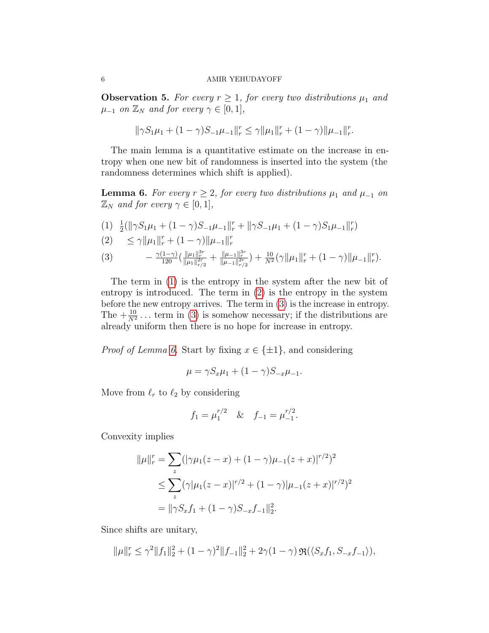<span id="page-5-4"></span>**Observation 5.** For every  $r \geq 1$ , for every two distributions  $\mu_1$  and  $\mu_{-1}$  on  $\mathbb{Z}_N$  and for every  $\gamma \in [0,1],$ 

$$
\|\gamma S_1 \mu_1 + (1-\gamma) S_{-1} \mu_{-1}\|_r^r \leq \gamma \|\mu_1\|_r^r + (1-\gamma) \|\mu_{-1}\|_r^r.
$$

The main lemma is a quantitative estimate on the increase in entropy when one new bit of randomness is inserted into the system (the randomness determines which shift is applied).

<span id="page-5-0"></span>**Lemma 6.** For every  $r \geq 2$ , for every two distributions  $\mu_1$  and  $\mu_{-1}$  on  $\mathbb{Z}_N$  and for every  $\gamma \in [0,1],$ 

<span id="page-5-1"></span>
$$
(1) \frac{1}{2}(\|\gamma S_1 \mu_1 + (1 - \gamma)S_{-1} \mu_{-1}\|_r^r + \|\gamma S_{-1} \mu_1 + (1 - \gamma)S_1 \mu_{-1}\|_r^r)
$$

<span id="page-5-2"></span>(2) 
$$
\leq \gamma \|\mu_1\|_r^r + (1 - \gamma) \|\mu_{-1}\|_r^r
$$

<span id="page-5-3"></span>(3) 
$$
- \frac{\gamma(1-\gamma)}{120} \left( \frac{\|\mu_1\|_{r}^{3r}}{\|\mu_1\|_{r/2}^{2r}} + \frac{\|\mu_{-1}\|_{r}^{3r}}{\|\mu_{-1}\|_{r/2}^{2r}} \right) + \frac{10}{N^2} (\gamma \|\mu_1\|_{r}^{r} + (1-\gamma) \|\mu_{-1}\|_{r}^{r}).
$$

The term in [\(1\)](#page-5-1) is the entropy in the system after the new bit of entropy is introduced. The term in [\(2\)](#page-5-2) is the entropy in the system before the new entropy arrives. The term in [\(3\)](#page-5-3) is the increase in entropy. The  $+\frac{10}{N^2}$ ... term in [\(3\)](#page-5-3) is somehow necessary; if the distributions are already uniform then there is no hope for increase in entropy.

*Proof of Lemma [6.](#page-5-0)* Start by fixing  $x \in \{\pm 1\}$ , and considering

$$
\mu = \gamma S_x \mu_1 + (1 - \gamma) S_{-x} \mu_{-1}.
$$

Move from  $\ell_r$  to  $\ell_2$  by considering

$$
f_1 = \mu_1^{r/2}
$$
 &  $f_{-1} = \mu_{-1}^{r/2}$ .

Convexity implies

$$
\|\mu\|_{r}^{r} = \sum_{z} (|\gamma\mu_{1}(z-x)+(1-\gamma)\mu_{-1}(z+x)|^{r/2})^{2}
$$
  
\n
$$
\leq \sum_{z} (\gamma|\mu_{1}(z-x)|^{r/2}+(1-\gamma)|\mu_{-1}(z+x)|^{r/2})^{2}
$$
  
\n
$$
= \|\gamma S_{x}f_{1}+(1-\gamma)S_{-x}f_{-1}\|_{2}^{2}.
$$

Since shifts are unitary,

$$
\|\mu\|_{r}^{r} \leq \gamma^{2} \|f_{1}\|_{2}^{2} + (1 - \gamma)^{2} \|f_{-1}\|_{2}^{2} + 2\gamma (1 - \gamma) \Re(\langle S_{x}f_{1}, S_{-x}f_{-1} \rangle),
$$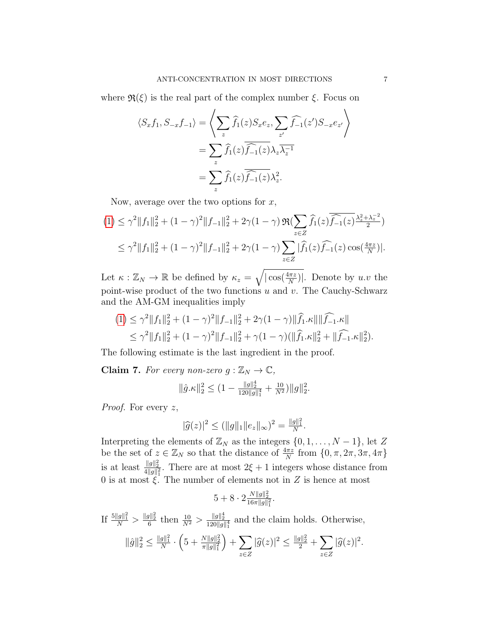where  $\mathfrak{R}(\xi)$  is the real part of the complex number  $\xi$ . Focus on

$$
\langle S_x f_1, S_{-x} f_{-1} \rangle = \left\langle \sum_z \widehat{f}_1(z) S_x e_z, \sum_{z'} \widehat{f}_{-1}(z') S_{-x} e_{z'} \right\rangle
$$
  
= 
$$
\sum_z \widehat{f}_1(z) \overline{\widehat{f}_{-1}(z)} \lambda_z \overline{\lambda_z^{-1}}
$$
  
= 
$$
\sum_z \widehat{f}_1(z) \overline{\widehat{f}_{-1}(z)} \lambda_z^2.
$$

Now, average over the two options for  $x$ ,

$$
(1) \leq \gamma^2 \|f_1\|_2^2 + (1 - \gamma)^2 \|f_{-1}\|_2^2 + 2\gamma (1 - \gamma) \Re(\sum_{z \in Z} \widehat{f}_1(z) \overline{\widehat{f}_{-1}(z)} \frac{\lambda_z^2 + \lambda_z^{-2}}{2})
$$
  
 
$$
\leq \gamma^2 \|f_1\|_2^2 + (1 - \gamma)^2 \|f_{-1}\|_2^2 + 2\gamma (1 - \gamma) \sum_{z \in Z} |\widehat{f}_1(z) \widehat{f}_{-1}(z) \cos(\frac{4\pi z}{N})|.
$$

Let  $\kappa : \mathbb{Z}_N \to \mathbb{R}$  be defined by  $\kappa_z = \sqrt{|\cos(\frac{4\pi z}{N})|}$ . Denote by u.v the point-wise product of the two functions  $u$  and  $v$ . The Cauchy-Schwarz and the AM-GM inequalities imply

$$
(1) \leq \gamma^2 \|f_1\|_2^2 + (1 - \gamma)^2 \|f_{-1}\|_2^2 + 2\gamma (1 - \gamma) \|\widehat{f}_1 \cdot \kappa\| \|\widehat{f}_{-1} \cdot \kappa\|
$$
  

$$
\leq \gamma^2 \|f_1\|_2^2 + (1 - \gamma)^2 \|f_{-1}\|_2^2 + \gamma (1 - \gamma) (\|\widehat{f}_1 \cdot \kappa\|_2^2 + \|\widehat{f}_{-1} \cdot \kappa\|_2^2).
$$

The following estimate is the last ingredient in the proof.

**Claim 7.** For every non-zero  $g : \mathbb{Z}_N \to \mathbb{C}$ ,

$$
\|\hat{g}.\kappa\|_2^2 \le (1 - \frac{\|g\|_2^4}{120\|g\|_1^4} + \frac{10}{N^2})\|g\|_2^2.
$$

*Proof.* For every  $z$ ,

$$
|\widehat{g}(z)|^2 \le (||g||_1 ||e_z||_{\infty})^2 = \frac{||g||_1^2}{N}.
$$

Interpreting the elements of  $\mathbb{Z}_N$  as the integers  $\{0, 1, \ldots, N-1\}$ , let Z be the set of  $z \in \mathbb{Z}_N$  so that the distance of  $\frac{4\pi z}{N}$  from  $\{0, \pi, 2\pi, 3\pi, 4\pi\}$ is at least  $\frac{\|g\|_2^2}{4\|g\|_1^2}$ . There are at most  $2\xi + 1$  integers whose distance from 0 is at most  $\xi$ . The number of elements not in Z is hence at most

$$
5+8\cdot 2\tfrac{N\|g\|_2^2}{16\pi\|g\|_1^2}.
$$

If  $\frac{5||g||_1^2}{N} > \frac{||g||_2^2}{6}$  then  $\frac{10}{N^2} > \frac{||g||_2^4}{120||g||_1^4}$  and the claim holds. Otherwise,

$$
\|\hat{g}\|_2^2 \le \frac{\|g\|_1^2}{N} \cdot \left(5 + \frac{N\|g\|_2^2}{\pi \|g\|_1^2}\right) + \sum_{z \in Z} |\widehat{g}(z)|^2 \le \frac{\|g\|_2^2}{2} + \sum_{z \in Z} |\widehat{g}(z)|^2.
$$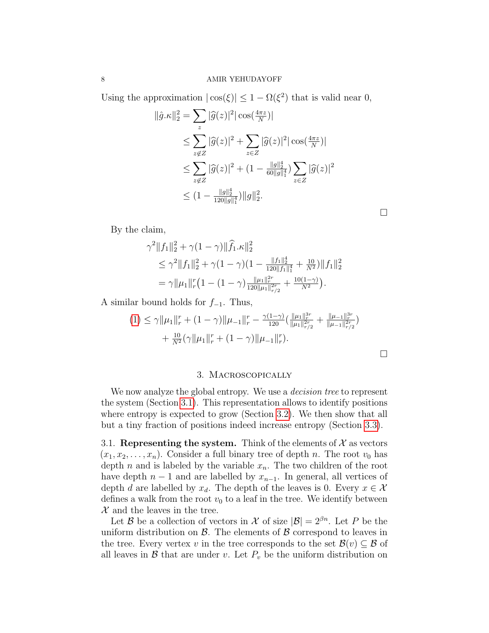Using the approximation  $|\cos(\xi)| \leq 1 - \Omega(\xi^2)$  that is valid near 0,

$$
\|\hat{g}.\kappa\|_2^2 = \sum_z |\hat{g}(z)|^2 |\cos(\frac{4\pi z}{N})|
$$
  
\n
$$
\leq \sum_{z \notin Z} |\hat{g}(z)|^2 + \sum_{z \in Z} |\hat{g}(z)|^2 |\cos(\frac{4\pi z}{N})|
$$
  
\n
$$
\leq \sum_{z \notin Z} |\hat{g}(z)|^2 + (1 - \frac{\|g\|_2^4}{60\|g\|_1^4}) \sum_{z \in Z} |\hat{g}(z)|^2
$$
  
\n
$$
\leq (1 - \frac{\|g\|_2^4}{120\|g\|_1^4}) \|g\|_2^2.
$$

By the claim,

$$
\gamma^2 \|f_1\|_2^2 + \gamma (1 - \gamma) \|\widehat{f}_1 \cdot \kappa\|_2^2
$$
  
\n
$$
\leq \gamma^2 \|f_1\|_2^2 + \gamma (1 - \gamma) (1 - \frac{\|f_1\|_2^4}{120\|f_1\|_1^4} + \frac{10}{N^2}) \|f_1\|_2^2
$$
  
\n
$$
= \gamma \| \mu_1 \|_r^r \left(1 - (1 - \gamma) \frac{\| \mu_1 \|_r^{2r}}{120\| \mu_1 \|_{r/2}^{2r}} + \frac{10(1 - \gamma)}{N^2}\right).
$$

A similar bound holds for  $f_{-1}$ . Thus,

$$
(1) \leq \gamma \|\mu_1\|_r^r + (1 - \gamma)\|\mu_{-1}\|_r^r - \frac{\gamma(1-\gamma)}{120} \left(\frac{\|\mu_1\|_r^{3r}}{\|\mu_1\|_{r/2}^{2r}} + \frac{\|\mu_{-1}\|_r^{3r}}{\|\mu_{-1}\|_{r/2}^{2r}}\right) + \frac{10}{N^2} (\gamma \|\mu_1\|_r^r + (1 - \gamma) \|\mu_{-1}\|_r^r).
$$

 $\Box$ 

 $\Box$ 

## 3. Macroscopically

<span id="page-7-0"></span>We now analyze the global entropy. We use a *decision tree* to represent the system (Section [3.1\)](#page-7-1). This representation allows to identify positions where entropy is expected to grow (Section [3.2\)](#page-8-0). We then show that all but a tiny fraction of positions indeed increase entropy (Section [3.3\)](#page-12-0).

<span id="page-7-1"></span>3.1. Representing the system. Think of the elements of  $\mathcal X$  as vectors  $(x_1, x_2, \ldots, x_n)$ . Consider a full binary tree of depth n. The root  $v_0$  has depth n and is labeled by the variable  $x_n$ . The two children of the root have depth  $n-1$  and are labelled by  $x_{n-1}$ . In general, all vertices of depth d are labelled by  $x_d$ . The depth of the leaves is 0. Every  $x \in \mathcal{X}$ defines a walk from the root  $v_0$  to a leaf in the tree. We identify between  $\mathcal X$  and the leaves in the tree.

Let B be a collection of vectors in X of size  $|\mathcal{B}| = 2^{\beta n}$ . Let P be the uniform distribution on  $\beta$ . The elements of  $\beta$  correspond to leaves in the tree. Every vertex v in the tree corresponds to the set  $\mathcal{B}(v) \subseteq \mathcal{B}$  of all leaves in  $\mathcal B$  that are under v. Let  $P_v$  be the uniform distribution on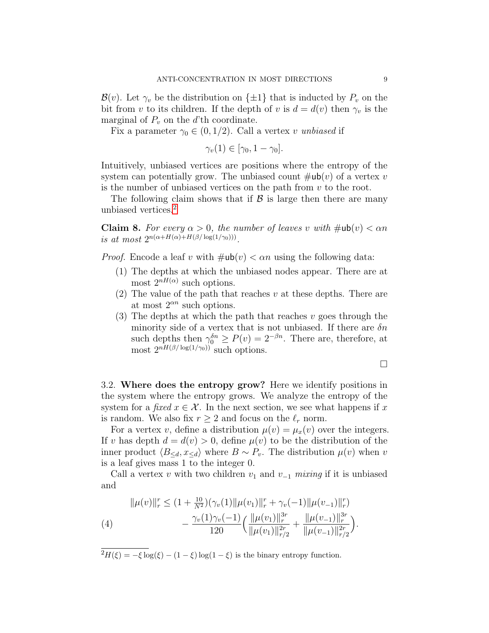$\mathcal{B}(v)$ . Let  $\gamma_v$  be the distribution on  $\{\pm 1\}$  that is inducted by  $P_v$  on the bit from v to its children. If the depth of v is  $d = d(v)$  then  $\gamma_v$  is the marginal of  $P_v$  on the d'th coordinate.

Fix a parameter  $\gamma_0 \in (0, 1/2)$ . Call a vertex v unbiased if

$$
\gamma_v(1) \in [\gamma_0, 1 - \gamma_0].
$$

Intuitively, unbiased vertices are positions where the entropy of the system can potentially grow. The unbiased count  $\#ub(v)$  of a vertex v is the number of unbiased vertices on the path from  $v$  to the root.

The following claim shows that if  $\beta$  is large then there are many unbiased vertices.[2](#page-8-1)

<span id="page-8-2"></span>**Claim 8.** For every  $\alpha > 0$ , the number of leaves v with  $\#\textsf{ub}(v) < \alpha n$ is at most  $2^{n(\alpha+H(\alpha)+H(\beta/\log(1/\gamma_0)))}$ .

*Proof.* Encode a leaf v with  $\#ub(v) < \alpha n$  using the following data:

- (1) The depths at which the unbiased nodes appear. There are at most  $2^{nH(\alpha)}$  such options.
- (2) The value of the path that reaches  $v$  at these depths. There are at most  $2^{\alpha n}$  such options.
- $(3)$  The depths at which the path that reaches v goes through the minority side of a vertex that is not unbiased. If there are  $\delta n$ such depths then  $\gamma_0^{\delta n} \ge P(v) = 2^{-\beta n}$ . There are, therefore, at most  $2^{nH(\beta/\log(1/\gamma_0))}$  such options.

 $\Box$ 

<span id="page-8-0"></span>3.2. Where does the entropy grow? Here we identify positions in the system where the entropy grows. We analyze the entropy of the system for a fixed  $x \in \mathcal{X}$ . In the next section, we see what happens if x is random. We also fix  $r \geq 2$  and focus on the  $\ell_r$  norm.

For a vertex v, define a distribution  $\mu(v) = \mu_x(v)$  over the integers. If v has depth  $d = d(v) > 0$ , define  $\mu(v)$  to be the distribution of the inner product  $\langle B_{\le d}, x_{\le d} \rangle$  where  $B \sim P_v$ . The distribution  $\mu(v)$  when v is a leaf gives mass 1 to the integer 0.

Call a vertex v with two children  $v_1$  and  $v_{-1}$  mixing if it is unbiased and

<span id="page-8-3"></span>
$$
\|\mu(v)\|_{r}^{r} \leq (1 + \frac{10}{N^{2}})(\gamma_{v}(1)\|\mu(v_{1})\|_{r}^{r} + \gamma_{v}(-1)\|\mu(v_{-1})\|_{r}^{r})
$$
  
(4)
$$
- \frac{\gamma_{v}(1)\gamma_{v}(-1)}{120} \Big(\frac{\|\mu(v_{1})\|_{r}^{3r}}{\|\mu(v_{1})\|_{r/2}^{2r}} + \frac{\|\mu(v_{-1})\|_{r}^{3r}}{\|\mu(v_{-1})\|_{r/2}^{2r}}\Big).
$$

<span id="page-8-1"></span> $\overline{^{2}H(\xi)} = -\xi \log(\xi) - (1-\xi) \log(1-\xi)$  is the binary entropy function.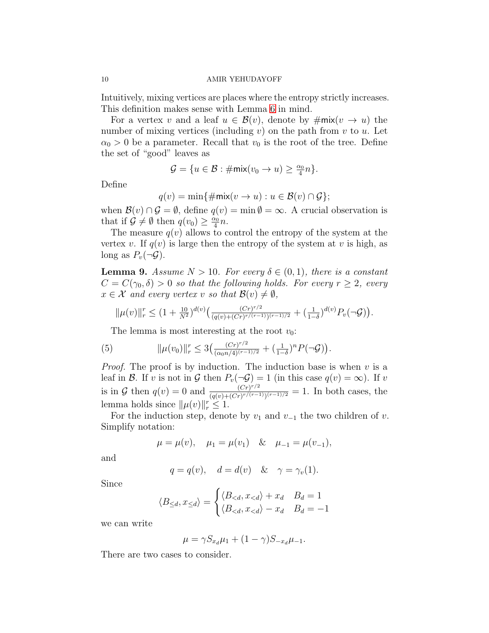Intuitively, mixing vertices are places where the entropy strictly increases. This definition makes sense with Lemma [6](#page-5-0) in mind.

For a vertex v and a leaf  $u \in \mathcal{B}(v)$ , denote by  $\#\text{mix}(v \to u)$  the number of mixing vertices (including  $v$ ) on the path from  $v$  to  $u$ . Let  $\alpha_0 > 0$  be a parameter. Recall that  $v_0$  is the root of the tree. Define the set of "good" leaves as

$$
\mathcal{G} = \{u \in \mathcal{B} : \#\text{mix}(v_0 \to u) \geq \tfrac{\alpha_0}{4}n\}.
$$

Define

$$
q(v) = \min\{\#\textsf{mix}(v \to u) : u \in \mathcal{B}(v) \cap \mathcal{G}\};
$$

when  $\mathcal{B}(v) \cap \mathcal{G} = \emptyset$ , define  $q(v) = \min \emptyset = \infty$ . A crucial observation is that if  $\mathcal{G} \neq \emptyset$  then  $q(v_0) \geq \frac{\alpha_0}{4}$  $\frac{\alpha_0}{4}n$ .

The measure  $q(v)$  allows to control the entropy of the system at the vertex v. If  $q(v)$  is large then the entropy of the system at v is high, as long as  $P_v(\neg \mathcal{G})$ .

<span id="page-9-0"></span>**Lemma 9.** Assume  $N > 10$ . For every  $\delta \in (0,1)$ , there is a constant  $C = C(\gamma_0, \delta) > 0$  so that the following holds. For every  $r \geq 2$ , every  $x \in \mathcal{X}$  and every vertex v so that  $\mathcal{B}(v) \neq \emptyset$ ,

$$
\|\mu(v)\|_{r}^{r} \leq (1+\tfrac{10}{N^{2}})^{d(v)} \big(\tfrac{(Cr)^{r/2}}{(q(v)+(Cr)^{r/(r-1)})^{(r-1)/2}} + (\tfrac{1}{1-\delta})^{d(v)} P_{v}(-\mathcal{G})\big).
$$

The lemma is most interesting at the root  $v_0$ :

<span id="page-9-1"></span>(5) 
$$
\|\mu(v_0)\|_r^r \leq 3\left(\frac{(Cr)^{r/2}}{(\alpha_0 n/4)^{(r-1)/2}} + \left(\frac{1}{1-\delta}\right)^n P(\neg \mathcal{G})\right).
$$

*Proof.* The proof is by induction. The induction base is when  $v$  is a leaf in B. If v is not in G then  $P_v(\neg \mathcal{G}) = 1$  (in this case  $q(v) = \infty$ ). If v is in G then  $q(v) = 0$  and  $\frac{(Cr)^{r/2}}{(q(v)+(Cr)^{r/(r-1)})}$  $\frac{(Cr)^{r/2}}{(q(v)+(Cr)^{r/(r-1)})(r-1)/2} = 1$ . In both cases, the lemma holds since  $\|\mu(v)\|_r^r \leq 1$ .

For the induction step, denote by  $v_1$  and  $v_{-1}$  the two children of v. Simplify notation:

$$
\mu = \mu(v),
$$
\n $\mu_1 = \mu(v_1)$ \n $\&$ \n $\mu_{-1} = \mu(v_{-1}),$ 

and

$$
q = q(v), \quad d = d(v) \quad < \quad \gamma = \gamma_v(1).
$$

Since

$$
\langle B_{\leq d}, x_{\leq d} \rangle = \begin{cases} \langle B_{
$$

we can write

$$
\mu = \gamma S_{x_d} \mu_1 + (1 - \gamma) S_{-x_d} \mu_{-1}.
$$

There are two cases to consider.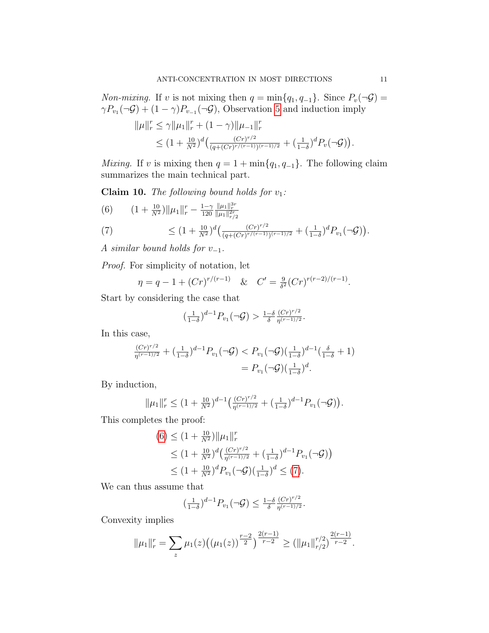*Non-mixing.* If v is not mixing then  $q = \min\{q_1, q_{-1}\}\$ . Since  $P_v(\neg \mathcal{G}) =$  $\gamma P_{v_1}(\neg \mathcal{G}) + (1 - \gamma)P_{v_{-1}}(\neg \mathcal{G})$ , Observation [5](#page-5-4) and induction imply

$$
\|\mu\|_{r}^{r} \leq \gamma \|\mu_{1}\|_{r}^{r} + (1 - \gamma)\|\mu_{-1}\|_{r}^{r}
$$
  

$$
\leq (1 + \frac{10}{N^{2}})^{d} \left(\frac{(Cr)^{r/2}}{(q + (Cr)^{r/(r-1)})(r-1)/2} + (\frac{1}{1-\delta})^{d} P_{v}(\neg \mathcal{G})\right).
$$

Mixing. If v is mixing then  $q = 1 + \min\{q_1, q_{-1}\}\.$  The following claim summarizes the main technical part.

Claim 10. The following bound holds for  $v_1$ :

<span id="page-10-1"></span><span id="page-10-0"></span>(6) 
$$
(1 + \frac{10}{N^2}) ||\mu_1||_r^r - \frac{1-\gamma}{120} \frac{||\mu_1||_r^{3r}}{||\mu_1||_{r/2}^{2r}}
$$
  
\n(7) 
$$
\leq (1 + \frac{10}{N^2})^d \left( \frac{(Cr)^{r/2}}{(q + (Cr)^{r/(r-1)})(r-1)/2} + (\frac{1}{1-\delta})^d P_{v_1}(\neg \mathcal{G}) \right).
$$

A similar bound holds for  $v_{-1}$ .

Proof. For simplicity of notation, let

$$
\eta = q - 1 + (Cr)^{r/(r-1)} \quad \& \quad C' = \frac{9}{\delta^2} (Cr)^{r(r-2)/(r-1)}.
$$

Start by considering the case that

$$
\left(\frac{1}{1-\delta}\right)^{d-1}P_{v_1}(\neg \mathcal{G}) > \frac{1-\delta}{\delta} \frac{(Cr)^{r/2}}{\eta^{(r-1)/2}}.
$$

In this case,

$$
\frac{(Cr)^{r/2}}{\eta^{(r-1)/2}} + \left(\frac{1}{1-\delta}\right)^{d-1} P_{v_1}(\neg \mathcal{G}) < P_{v_1}(\neg \mathcal{G}) \left(\frac{1}{1-\delta}\right)^{d-1} \left(\frac{\delta}{1-\delta} + 1\right) \\
= P_{v_1}(\neg \mathcal{G}) \left(\frac{1}{1-\delta}\right)^d.
$$

By induction,

$$
\|\mu_1\|_r^r \le (1 + \tfrac{10}{N^2})^{d-1} \big(\tfrac{(Cr)^{r/2}}{\eta^{(r-1)/2}} + \big(\tfrac{1}{1-\delta}\big)^{d-1} P_{v_1}(\neg \mathcal{G})\big).
$$

This completes the proof:

$$
(6) \le (1 + \frac{10}{N^2}) \|\mu_1\|_r^r
$$
  
\n
$$
\le (1 + \frac{10}{N^2})^d \left(\frac{(Cr)^{r/2}}{\eta^{(r-1)/2}} + \left(\frac{1}{1-\delta}\right)^{d-1} P_{v_1}(\neg \mathcal{G})\right)
$$
  
\n
$$
\le (1 + \frac{10}{N^2})^d P_{v_1}(\neg \mathcal{G}) \left(\frac{1}{1-\delta}\right)^d \le (7).
$$

We can thus assume that

$$
\left(\frac{1}{1-\delta}\right)^{d-1} P_{v_1}(\neg \mathcal{G}) \leq \frac{1-\delta}{\delta} \frac{(Cr)^{r/2}}{\eta^{(r-1)/2}}.
$$

Convexity implies

$$
\|\mu_1\|_r^r = \sum_z \mu_1(z) \big( (\mu_1(z))^{\frac{r-2}{2}} \big)^{\frac{2(r-1)}{r-2}} \ge (\|\mu_1\|_{r/2}^{r/2})^{\frac{2(r-1)}{r-2}}.
$$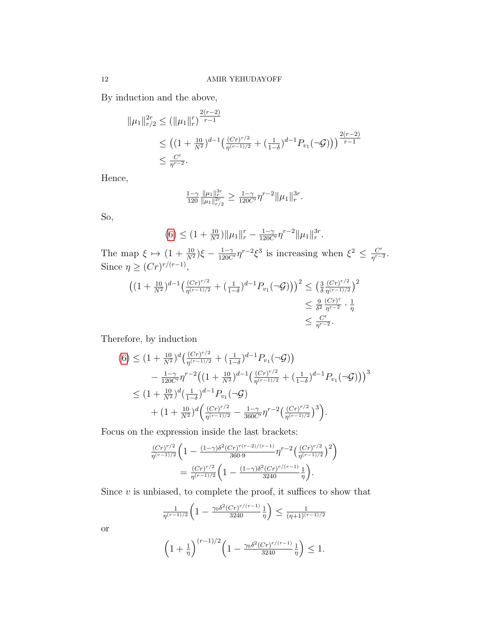By induction and the above,

$$
\|\mu_1\|_{r/2}^{2r} \le (\|\mu_1\|_r^r)^{\frac{2(r-2)}{r-1}}
$$
  
 
$$
\le ((1+\frac{10}{N^2})^{d-1} \left(\frac{(Cr)^{r/2}}{\eta^{(r-1)/2}} + \left(\frac{1}{1-\delta}\right)^{d-1} P_{v_1}(\neg \mathcal{G})\right))^{\frac{2(r-2)}{r-1}}
$$
  
 
$$
\le \frac{C'}{\eta^{r-2}}.
$$

Hence,

$$
\tfrac{1-\gamma}{120}\tfrac{\|\mu_1\|_r^{3r}}{\|\mu_1\|_{r/2}^{2r}}\geq\tfrac{1-\gamma}{120C'}\eta^{r-2}\|\mu_1\|_r^{3r}.
$$

So,

$$
(6) \le (1 + \frac{10}{N^2}) \|\mu_1\|_r^r - \frac{1 - \gamma}{120C'} \eta^{r-2} \|\mu_1\|_r^{3r}.
$$

The map  $\xi \mapsto (1 + \frac{10}{N^2})\xi - \frac{1-\gamma}{120C'}\eta^{r-2}\xi^3$  is increasing when  $\xi^2 \leq \frac{C'}{\eta^{r-2}}$  $\frac{C'}{\eta^{r-2}}.$ Since  $\eta \geq (Cr)^{r/(r-1)},$ 

$$
\begin{aligned} \left( (1 + \frac{10}{N^2})^{d-1} \left( \frac{(Cr)^{r/2}}{\eta^{(r-1)/2}} + \left( \frac{1}{1-\delta} \right)^{d-1} P_{v_1}(\neg \mathcal{G}) \right) \right)^2 &\leq \left( \frac{3}{\delta} \frac{(Cr)^{r/2}}{\eta^{(r-1)/2}} \right)^2 \\ &\leq \frac{9}{\delta^2} \frac{(Cr)^r}{\eta^{r-2}} \cdot \frac{1}{\eta} \\ &\leq \frac{C'}{\eta^{r-2}}. \end{aligned}
$$

Therefore, by induction

$$
(6) \leq (1 + \frac{10}{N^2})^d \left( \frac{(Cr)^{r/2}}{\eta^{(r-1)/2}} + \left( \frac{1}{1-\delta} \right)^{d-1} P_{v_1}(\neg \mathcal{G}) \right)
$$
  
- 
$$
\frac{1-\gamma}{120C'} \eta^{r-2} \left( \left( 1 + \frac{10}{N^2} \right)^{d-1} \left( \frac{(Cr)^{r/2}}{\eta^{(r-1)/2}} + \left( \frac{1}{1-\delta} \right)^{d-1} P_{v_1}(\neg \mathcal{G}) \right) \right)^3
$$
  

$$
\leq (1 + \frac{10}{N^2})^d \left( \frac{1}{1-\delta} \right)^{d-1} P_{v_1}(\neg \mathcal{G})
$$
  
+ 
$$
(1 + \frac{10}{N^2})^d \left( \frac{(Cr)^{r/2}}{\eta^{(r-1)/2}} - \frac{1-\gamma}{360C'} \eta^{r-2} \left( \frac{(Cr)^{r/2}}{\eta^{(r-1)/2}} \right)^3 \right).
$$

Focus on the expression inside the last brackets:

$$
\frac{(Cr)^{r/2}}{\eta^{(r-1)/2}} \left(1 - \frac{(1-\gamma)\delta^2 (Cr)^{r(r-2)/(r-1)}}{360 \cdot 9} \eta^{r-2} \left(\frac{(Cr)^{r/2}}{\eta^{(r-1)/2}}\right)^2\right)
$$

$$
= \frac{(Cr)^{r/2}}{\eta^{(r-1)/2}} \left(1 - \frac{(1-\gamma)\delta^2 (Cr)^{r/(r-1)}}{3240} \frac{1}{\eta}\right).
$$

Since  $v$  is unbiased, to complete the proof, it suffices to show that

$$
\frac{1}{\eta^{(r-1)/2}} \left( 1 - \frac{\gamma_0 \delta^2 (Cr)^{r/(r-1)}}{3240} \frac{1}{\eta} \right) \le \frac{1}{(\eta+1)^{(r-1)/2}}
$$

or

$$
\left(1+\frac{1}{\eta}\right)^{(r-1)/2} \left(1-\frac{\gamma_0 \delta^2 (Cr)^{r/(r-1)}}{3240}\frac{1}{\eta}\right) \le 1.
$$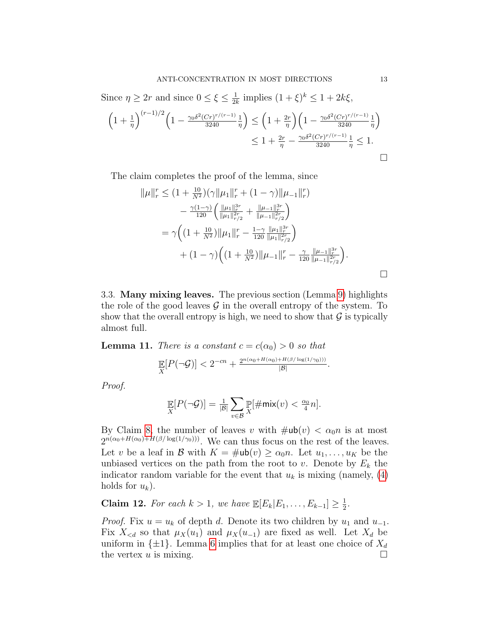Since  $\eta \geq 2r$  and since  $0 \leq \xi \leq \frac{1}{2l}$  $\frac{1}{2k}$  implies  $(1+\xi)^k \leq 1+2k\xi$ ,

$$
\left(1+\frac{1}{\eta}\right)^{(r-1)/2} \left(1-\frac{\gamma_0 \delta^2 (Cr)^{r/(r-1)}}{3240} \frac{1}{\eta}\right) \leq \left(1+\frac{2r}{\eta}\right) \left(1-\frac{\gamma_0 \delta^2 (Cr)^{r/(r-1)}}{3240} \frac{1}{\eta}\right) \leq 1+\frac{2r}{\eta}-\frac{\gamma_0 \delta^2 (Cr)^{r/(r-1)}}{3240} \frac{1}{\eta} \leq 1.
$$

The claim completes the proof of the lemma, since

$$
\|\mu\|_{r}^{r} \leq (1 + \frac{10}{N^{2}})(\gamma \|\mu_{1}\|_{r}^{r} + (1 - \gamma)\|\mu_{-1}\|_{r}^{r})
$$

$$
- \frac{\gamma(1 - \gamma)}{120} \left( \frac{\|\mu_{1}\|_{r}^{3r}}{\|\mu_{1}\|_{r/2}^{2r}} + \frac{\|\mu_{-1}\|_{r}^{3r}}{\|\mu_{-1}\|_{r/2}^{2r}} \right)
$$

$$
= \gamma \left( (1 + \frac{10}{N^{2}}) \|\mu_{1}\|_{r}^{r} - \frac{1 - \gamma}{120} \frac{\|\mu_{1}\|_{r}^{3r}}{\|\mu_{1}\|_{r/2}^{2r}} \right)
$$

$$
+ (1 - \gamma) \left( (1 + \frac{10}{N^{2}}) \|\mu_{-1}\|_{r}^{r} - \frac{\gamma}{120} \frac{\|\mu_{-1}\|_{r}^{3r}}{\|\mu_{-1}\|_{r/2}^{2r}} \right).
$$

<span id="page-12-0"></span>3.3. Many mixing leaves. The previous section (Lemma [9\)](#page-9-0) highlights the role of the good leaves  $\mathcal G$  in the overall entropy of the system. To show that the overall entropy is high, we need to show that  $\mathcal G$  is typically almost full.

<span id="page-12-1"></span>**Lemma 11.** There is a constant  $c = c(\alpha_0) > 0$  so that

$$
\mathbb{E}[P(\neg \mathcal{G})] < 2^{-cn} + \frac{2^{n(\alpha_0 + H(\alpha_0) + H(\beta/\log(1/\gamma_0)))}}{|\mathcal{B}|}.
$$

Proof.

$$
\mathop{\mathbb{E}}_X[P(\neg \mathcal{G})] = \frac{1}{|\mathcal{B}|} \sum_{v \in \mathcal{B}} \mathop{\mathbb{P}}_X[\#\text{mix}(v) < \frac{\alpha_0}{4}n].
$$

By Claim [8,](#page-8-2) the number of leaves v with  $\#ub(v) < \alpha_0 n$  is at most  $2^{n(\alpha_0+H(\alpha_0)+H(\beta/\log(1/\gamma_0)))}$ . We can thus focus on the rest of the leaves. Let v be a leaf in B with  $K = \text{#ub}(v) \geq \alpha_0 n$ . Let  $u_1, \ldots, u_K$  be the unbiased vertices on the path from the root to v. Denote by  $E_k$  the indicator random variable for the event that  $u_k$  is mixing (namely, [\(4\)](#page-8-3) holds for  $u_k$ ).

**Claim 12.** For each  $k > 1$ , we have  $\mathbb{E}[E_k|E_1,\ldots,E_{k-1}] \geq \frac{1}{2}$  $\frac{1}{2}$ .

*Proof.* Fix  $u = u_k$  of depth d. Denote its two children by  $u_1$  and  $u_{-1}$ . Fix  $X_{< d}$  so that  $\mu_X(u_1)$  and  $\mu_X(u_{-1})$  are fixed as well. Let  $X_d$  be uniform in  $\{\pm 1\}$ . Lemma [6](#page-5-0) implies that for at least one choice of  $X_d$ the vertex  $u$  is mixing.

 $\Box$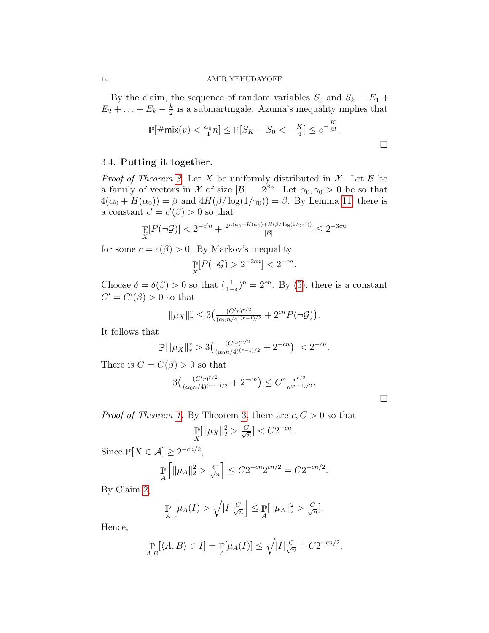By the claim, the sequence of random variables  $S_0$  and  $S_k = E_1 +$  $E_2 + \ldots + E_k - \frac{k}{2}$  $\frac{k}{2}$  is a submartingale. Azuma's inequality implies that

$$
\mathbb{P}[\#\text{mix}(v) < \frac{\alpha_0}{4}n] \le \mathbb{P}[S_K - S_0 < -\frac{K}{4}] \le e^{-\frac{K}{32}}.
$$

# 3.4. Putting it together.

*Proof of Theorem [3.](#page-2-1)* Let X be uniformly distributed in  $X$ . Let B be a family of vectors in X of size  $|\mathcal{B}| = 2^{\beta n}$ . Let  $\alpha_0, \gamma_0 > 0$  be so that  $4(\alpha_0 + H(\alpha_0)) = \beta$  and  $4H(\beta/\log(1/\gamma_0)) = \beta$ . By Lemma [11,](#page-12-1) there is a constant  $c' = c'(\beta) > 0$  so that

$$
\mathop{\mathbb{E}}_X[P(\neg \mathcal{G})] < 2^{-c'n} + \tfrac{2^{n(\alpha_0 + H(\alpha_0) + H(\beta/\log(1/\gamma_0)))}}{|\mathcal{B}|} \leq 2^{-3cn}
$$

for some  $c = c(\beta) > 0$ . By Markov's inequality

$$
\mathbb{P}[P(\neg \mathcal{G}) > 2^{-2cn}] < 2^{-cn}.
$$

Choose  $\delta = \delta(\beta) > 0$  so that  $(\frac{1}{1-\delta})^n = 2^{cn}$ . By [\(5\)](#page-9-1), there is a constant  $C' = C'(\beta) > 0$  so that

$$
\|\mu_X\|_r^r \le 3\left(\frac{(C'r)^{r/2}}{(\alpha_0 n/4)^{(r-1)/2}} + 2^{cn}P(\neg \mathcal{G})\right).
$$

It follows that

$$
\mathbb{P}[\|\mu_X\|_r^r > 3\left(\frac{(C'r)^{r/2}}{(\alpha_0 n/4)^{(r-1)/2}} + 2^{-cn}\right)] < 2^{-cn}.
$$

There is  $C = C(\beta) > 0$  so that

$$
3\left(\frac{(C'r)^{r/2}}{(\alpha_0 n/4)^{(r-1)/2}} + 2^{-cn}\right) \leq C^r \frac{r^{r/2}}{n^{(r-1)/2}}.
$$

 $\Box$ 

*Proof of Theorem [1.](#page-1-0)* By Theorem [3,](#page-2-1) there are  $c, C > 0$  so that

$$
\Pr_{X}[\|\mu_X\|_2^2 > \frac{C}{\sqrt{n}}] < C2^{-cn}
$$

.

Since  $\mathbb{P}[X \in \mathcal{A}] \geq 2^{-cn/2},$ 

$$
\mathbb{P}\left[\|\mu_A\|_2^2 > \frac{C}{\sqrt{n}}\right] \le C2^{-cn}2^{cn/2} = C2^{-cn/2}.
$$

By Claim [2,](#page-1-2)

$$
\mathbb{P}\left[\mu_A(I) > \sqrt{|I|\frac{C}{\sqrt{n}}}\right] \leq \mathbb{P}\left[\|\mu_A\|_2^2 > \frac{C}{\sqrt{n}}\right].
$$

Hence,

$$
\mathop{\mathbb{P}}_{A,B}[\langle A,B\rangle \in I] = \mathop{\mathbb{P}}_{A}[\mu_A(I)] \le \sqrt{|I| \frac{C}{\sqrt{n}}} + C2^{-cn/2}.
$$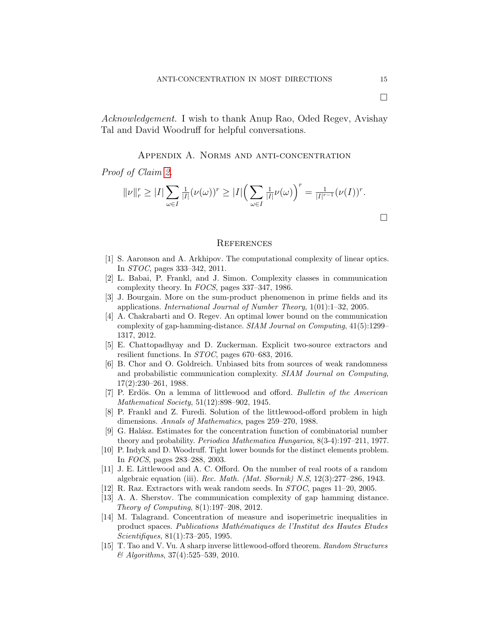Acknowledgement. I wish to thank Anup Rao, Oded Regev, Avishay Tal and David Woodruff for helpful conversations.

# Appendix A. Norms and anti-concentration

Proof of Claim [2.](#page-1-2)

$$
||\nu||_r^r \geq |I| \sum_{\omega \in I} \frac{1}{|I|} (\nu(\omega))^r \geq |I| \left(\sum_{\omega \in I} \frac{1}{|I|} \nu(\omega)\right)^r = \frac{1}{|I|^{r-1}} (\nu(I))^r.
$$

#### **REFERENCES**

- [1] S. Aaronson and A. Arkhipov. The computational complexity of linear optics. In STOC, pages 333–342, 2011.
- <span id="page-14-2"></span>[2] L. Babai, P. Frankl, and J. Simon. Complexity classes in communication complexity theory. In FOCS, pages 337–347, 1986.
- <span id="page-14-6"></span>[3] J. Bourgain. More on the sum-product phenomenon in prime fields and its applications. International Journal of Number Theory, 1(01):1–32, 2005.
- <span id="page-14-3"></span>[4] A. Chakrabarti and O. Regev. An optimal lower bound on the communication complexity of gap-hamming-distance. SIAM Journal on Computing, 41(5):1299– 1317, 2012.
- <span id="page-14-8"></span>[5] E. Chattopadhyay and D. Zuckerman. Explicit two-source extractors and resilient functions. In STOC, pages 670–683, 2016.
- <span id="page-14-5"></span>[6] B. Chor and O. Goldreich. Unbiased bits from sources of weak randomness and probabilistic communication complexity. SIAM Journal on Computing, 17(2):230–261, 1988.
- [7] P. Erdös. On a lemma of littlewood and offord. Bulletin of the American Mathematical Society, 51(12):898–902, 1945.
- [8] P. Frankl and Z. Furedi. Solution of the littlewood-offord problem in high dimensions. Annals of Mathematics, pages 259–270, 1988.
- [9] G. Halász. Estimates for the concentration function of combinatorial number theory and probability. Periodica Mathematica Hungarica, 8(3-4):197–211, 1977.
- <span id="page-14-4"></span>[10] P. Indyk and D. Woodruff. Tight lower bounds for the distinct elements problem. In FOCS, pages 283–288, 2003.
- [11] J. E. Littlewood and A. C. Offord. On the number of real roots of a random algebraic equation (iii). Rec. Math. (Mat. Sbornik) N.S, 12(3):277–286, 1943.
- <span id="page-14-7"></span>[12] R. Raz. Extractors with weak random seeds. In STOC, pages 11–20, 2005.
- <span id="page-14-0"></span>[13] A. A. Sherstov. The communication complexity of gap hamming distance. Theory of Computing, 8(1):197–208, 2012.
- <span id="page-14-1"></span>[14] M. Talagrand. Concentration of measure and isoperimetric inequalities in product spaces. Publications Mathématiques de l'Institut des Hautes Etudes Scientifiques, 81(1):73–205, 1995.
- [15] T. Tao and V. Vu. A sharp inverse littlewood-offord theorem. Random Structures & Algorithms, 37(4):525–539, 2010.

 $\Box$